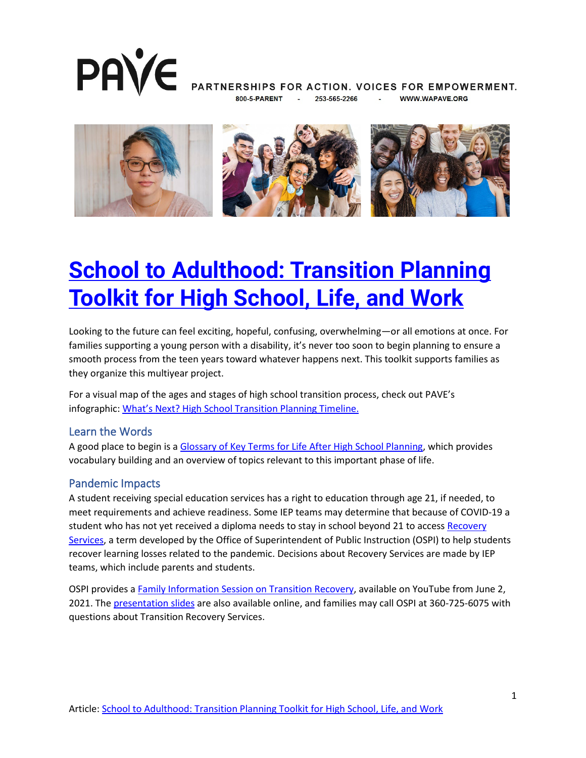

PARTNERSHIPS FOR ACTION. VOICES FOR EMPOWERMENT. **WWW.WAPAVE.ORG** 253-565-2266



# **<u>School to Adulthood: Transition Planning</u> [Toolkit for High School, Life, and Work](https://wapave.org/school-to-adulthood-transition-planning-toolkit-for-high-school-life-and-work/)**

Looking to the future can feel exciting, hopeful, confusing, overwhelming—or all emotions at once. For families supporting a young person with a disability, it's never too soon to begin planning to ensure a smooth process from the teen years toward whatever happens next. This toolkit supports families as they organize this multiyear project.

For a visual map of the ages and stages of high school transition process, check out PAVE's infographic: [What's Next? High School Transition Planning Timeline.](https://wapave.org/whats-next-high-school-transition-planning-timeline/)

#### Learn the Words

A good place to begin is a [Glossary of Key Terms for Life After High School Planning,](https://wapave.org/glossary-of-key-terms-for-life-after-high-school-planning/) which provides vocabulary building and an overview of topics relevant to this important phase of life.

#### Pandemic Impacts

A student receiving special education services has a right to education through age 21, if needed, to meet requirements and achieve readiness. Some IEP teams may determine that because of COVID-19 a student who has not yet received a diploma needs to stay in school beyond 21 to access Recovery [Services,](https://www.k12.wa.us/sites/default/files/public/safs/misc/budprep21/TransitionServicesQandA.pdf) a term developed by the Office of Superintendent of Public Instruction (OSPI) to help students recover learning losses related to the pandemic. Decisions about Recovery Services are made by IEP teams, which include parents and students.

OSPI provides a [Family Information Session on Transition Recovery,](https://www.youtube.com/watch?v=FEtmJIkrtpo) available on YouTube from June 2, 2021. The [presentation slides](https://www.k12.wa.us/sites/default/files/public/specialed/pubdocs/Family-Transition-Recovery-Services-Webinar.pdf) are also available online, and families may call OSPI at 360-725-6075 with questions about Transition Recovery Services.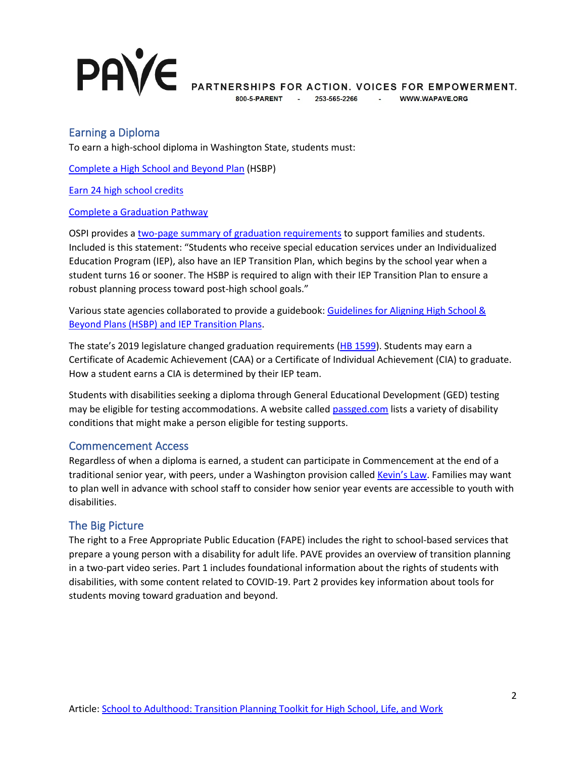# **PAVE**

PARTNERSHIPS FOR ACTION. VOICES FOR EMPOWERMENT.

253-565-2266 - WWW.WAPAVE.ORG

### Earning a Diploma

To earn a high-school diploma in Washington State, students must:

[Complete a High School and Beyond Plan](https://www.k12.wa.us/student-success/graduation/graduation-requirements/high-school-beyond-plan) (HSBP)

[Earn 24 high school credits](https://www.k12.wa.us/student-success/graduation/graduation-requirements/credit-requirements)

[Complete a Graduation Pathway](https://www.k12.wa.us/student-success/graduation/graduation-requirements/graduation-pathways)

OSPI provides a [two-page summary of graduation requirements](https://www.k12.wa.us/sites/default/files/public/graduation/pubdocs/Graduation-Requirements-Class-of-2022.pdf) to support families and students. Included is this statement: "Students who receive special education services under an Individualized Education Program (IEP), also have an IEP Transition Plan, which begins by the school year when a student turns 16 or sooner. The HSBP is required to align with their IEP Transition Plan to ensure a robust planning process toward post-high school goals."

Various state agencies collaborated to provide a guidebook: [Guidelines for Aligning High School &](https://www.k12.wa.us/sites/default/files/public/specialed/programreview/monitoring/secondarytransition/Guide-Align-HSBP-IEP-Transition.pdf)  [Beyond Plans \(HSBP\) and IEP Transition Plans.](https://www.k12.wa.us/sites/default/files/public/specialed/programreview/monitoring/secondarytransition/Guide-Align-HSBP-IEP-Transition.pdf)

The state's 2019 legislature changed graduation requirements [\(HB 1599\)](https://lawfilesext.leg.wa.gov/biennium/2019-20/Pdf/Bill%20Reports/House/1599-S2.E%20HBR%20FBR%2019.pdf?q=20220413081327). Students may earn a Certificate of Academic Achievement (CAA) or a Certificate of Individual Achievement (CIA) to graduate. How a student earns a CIA is determined by their IEP team.

Students with disabilities seeking a diploma through General Educational Development (GED) testing may be eligible for testing accommodations. A website called [passged.com](https://www.passged.com/articles/ged-accommodations-for-disabilities) lists a variety of disability conditions that might make a person eligible for testing supports.

#### Commencement Access

Regardless of when a diploma is earned, a student can participate in Commencement at the end of a traditional senior year, with peers, under a Washington provision called [Kevin's Law.](https://wapave.org/were-glad-you-asked-3/) Families may want to plan well in advance with school staff to consider how senior year events are accessible to youth with disabilities.

#### The Big Picture

The right to a Free Appropriate Public Education (FAPE) includes the right to school-based services that prepare a young person with a disability for adult life. PAVE provides an overview of transition planning in a two-part video series. Part 1 includes foundational information about the rights of students with disabilities, with some content related to COVID-19. Part 2 provides key information about tools for students moving toward graduation and beyond.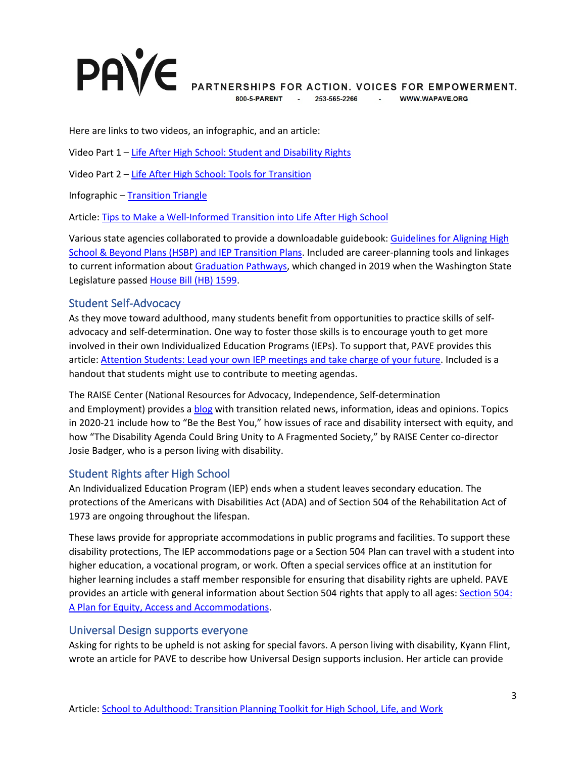# **PAVE**

PARTNERSHIPS FOR ACTION. VOICES FOR EMPOWERMENT. **WWW.WAPAVE.ORG** 

253-565-2266 800-5-PARENT

**Contractor** 

Here are links to two videos, an infographic, and an article:

Video Part 1 – [Life After High School: Student and Disability Rights](https://wapave.org/life-after-high-school-a-two-part-training-to-help-families-and-young-people-get-ready/)

Video Part 2 – [Life After High School: Tools for Transition](https://wapave.org/life-after-high-school-a-two-part-training-to-help-families-and-young-people-get-ready/)

Infographic – [Transition Triangle](https://wapave.org/transition-triangle/)

Article: [Tips to Make a Well-Informed Transition into Life After High School](https://wapave.org/tips-to-make-a-well-informed-transition-into-life-after-high-school/)

Various state agencies collaborated to provide a downloadable guidebook: [Guidelines for Aligning High](https://www.k12.wa.us/sites/default/files/public/specialed/programreview/monitoring/secondarytransition/Guide-Align-HSBP-IEP-Transition.pdf)  [School & Beyond Plans \(HSBP\) and IEP Transition Plans.](https://www.k12.wa.us/sites/default/files/public/specialed/programreview/monitoring/secondarytransition/Guide-Align-HSBP-IEP-Transition.pdf) Included are career-planning tools and linkages to current information about [Graduation Pathways,](https://www.k12.wa.us/student-success/graduation/graduation-requirements/graduation-pathways) which changed in 2019 when the Washington State Legislature passe[d House Bill \(HB\) 1599.](https://app.leg.wa.gov/billsummary?BillNumber=1599&Year=2019&Initiative=false)

#### Student Self-Advocacy

As they move toward adulthood, many students benefit from opportunities to practice skills of selfadvocacy and self-determination. One way to foster those skills is to encourage youth to get more involved in their own Individualized Education Programs (IEPs). To support that, PAVE provides this article: [Attention Students: Lead your own IEP meetings and take charge of your future.](https://wapave.org/attention-students-lead-your-own-iep-meetings-and-take-charge-of-your-future/) Included is a handout that students might use to contribute to meeting agendas.

The RAISE Center (National Resources for Advocacy, Independence, Self-determination and Employment) provides a [blog](https://raisecenter.blog/) with transition related news, information, ideas and opinions. Topics in 2020-21 include how to "Be the Best You," how issues of race and disability intersect with equity, and how "The Disability Agenda Could Bring Unity to A Fragmented Society," by RAISE Center co-director Josie Badger, who is a person living with disability.

# Student Rights after High School

An Individualized Education Program (IEP) ends when a student leaves secondary education. The protections of the Americans with Disabilities Act (ADA) and of Section 504 of the Rehabilitation Act of 1973 are ongoing throughout the lifespan.

These laws provide for appropriate accommodations in public programs and facilities. To support these disability protections, The IEP accommodations page or a Section 504 Plan can travel with a student into higher education, a vocational program, or work. Often a special services office at an institution for higher learning includes a staff member responsible for ensuring that disability rights are upheld. PAVE provides an article with general information about Section 504 rights that apply to all ages: [Section 504:](https://wapave.org/section-504-a-plan-for-equity-access-and-accommodations/)  [A Plan for Equity, Access and Accommodations.](https://wapave.org/section-504-a-plan-for-equity-access-and-accommodations/)

#### Universal Design supports everyone

Asking for rights to be upheld is not asking for special favors. A person living with disability, Kyann Flint, wrote an article for PAVE to describe how Universal Design supports inclusion. Her article can provide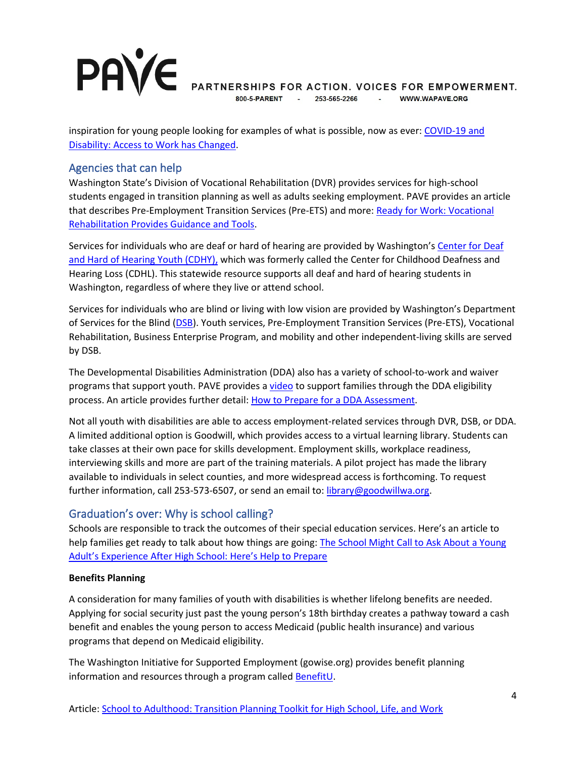# **PAVE**

PARTNERSHIPS FOR ACTION. VOICES FOR EMPOWERMENT.

253-565-2266 **Contractor** WWW.WAPAVE.ORG

inspiration for young people looking for examples of what is possible, now as ever: [COVID-19 and](https://wapave.org/covid-19-and-disability-access-to-work-has-changed/)  [Disability: Access to Work has Changed.](https://wapave.org/covid-19-and-disability-access-to-work-has-changed/)

### Agencies that can help

Washington State's Division of Vocational Rehabilitation (DVR) provides services for high-school students engaged in transition planning as well as adults seeking employment. PAVE provides an article that describes Pre-Employment Transition Services (Pre-ETS) and more: Ready for Work: Vocational [Rehabilitation Provides Guidance and Tools.](https://wapave.org/ready-for-work-vocational-rehabilitation-provides-guidance-and-tools/)

Services for individuals who are deaf or hard of hearing are provided by Washington's [Center for Deaf](https://www.cdhy.wa.gov/)  [and Hard of Hearing Youth \(CDHY\),](https://www.cdhy.wa.gov/) which was formerly called the Center for Childhood Deafness and Hearing Loss (CDHL). This statewide resource supports all deaf and hard of hearing students in Washington, regardless of where they live or attend school.

Services for individuals who are blind or living with low vision are provided by Washington's Department of Services for the Blind [\(DSB\)](https://dsb.wa.gov/). Youth services, Pre-Employment Transition Services (Pre-ETS), Vocational Rehabilitation, Business Enterprise Program, and mobility and other independent-living skills are served by DSB.

The Developmental Disabilities Administration (DDA) also has a variety of school-to-work and waiver programs that support youth. PAVE provides a [video](https://wapave.org/dda-access-series-1-eligibility/) to support families through the DDA eligibility process. An article provides further detail: [How to Prepare for a DDA Assessment.](https://wapave.org/how-to-prepare-for-a-dda-assessment/)

Not all youth with disabilities are able to access employment-related services through DVR, DSB, or DDA. A limited additional option is Goodwill, which provides access to a virtual learning library. Students can take classes at their own pace for skills development. Employment skills, workplace readiness, interviewing skills and more are part of the training materials. A pilot project has made the library available to individuals in select counties, and more widespread access is forthcoming. To request further information, call 253-573-6507, or send an email to: [library@goodwillwa.org.](mailto:library@goodwillwa.org)

# Graduation's over: Why is school calling?

Schools are responsible to track the outcomes of their special education services. Here's an article to help families get ready to talk about how things are going: [The School Might Call to Ask About a Young](https://wapave.org/the-school-might-call-to-ask-about-a-young-adults-experience-after-high-school-heres-help-to-prepare/)  [Adult's Experience After High School: Here's Help to Prepare](https://wapave.org/the-school-might-call-to-ask-about-a-young-adults-experience-after-high-school-heres-help-to-prepare/)

#### **Benefits Planning**

A consideration for many families of youth with disabilities is whether lifelong benefits are needed. Applying for social security just past the young person's 18th birthday creates a pathway toward a cash benefit and enables the young person to access Medicaid (public health insurance) and various programs that depend on Medicaid eligibility.

The Washington Initiative for Supported Employment (gowise.org) provides benefit planning information and resources through a program called [BenefitU.](https://www.gowise.org/wabenefitsinfo/)